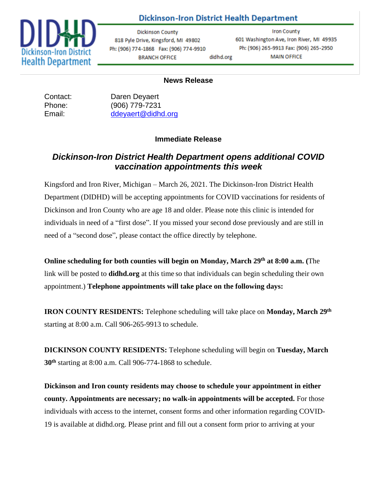

## **Dickinson-Iron District Health Department**

**Dickinson County** 818 Pyle Drive, Kingsford, MI 49802 Ph: (906) 774-1868 Fax: (906) 774-9910 **BRANCH OFFICE** didhd.org

**Iron County** 601 Washington Ave, Iron River, MI 49935 Ph: (906) 265-9913 Fax: (906) 265-2950 **MAIN OFFICE** 

## **News Release**

Contact: Daren Deyaert Phone: (906) 779-7231 Email: [ddeyaert@didhd.org](mailto:ddeyaert@didhd.org)

## **Immediate Release**

## *Dickinson-Iron District Health Department opens additional COVID vaccination appointments this week*

Kingsford and Iron River, Michigan – March 26, 2021. The Dickinson-Iron District Health Department (DIDHD) will be accepting appointments for COVID vaccinations for residents of Dickinson and Iron County who are age 18 and older. Please note this clinic is intended for individuals in need of a "first dose". If you missed your second dose previously and are still in need of a "second dose", please contact the office directly by telephone.

**Online scheduling for both counties will begin on Monday, March 29 th at 8:00 a.m. (**The link will be posted to **didhd.org** at this time so that individuals can begin scheduling their own appointment.) **Telephone appointments will take place on the following days:** 

**IRON COUNTY RESIDENTS:** Telephone scheduling will take place on **Monday, March 29th** starting at 8:00 a.m. Call 906-265-9913 to schedule.

**DICKINSON COUNTY RESIDENTS:** Telephone scheduling will begin on **Tuesday, March 30th** starting at 8:00 a.m. Call 906-774-1868 to schedule.

**Dickinson and Iron county residents may choose to schedule your appointment in either county. Appointments are necessary; no walk-in appointments will be accepted.** For those individuals with access to the internet, consent forms and other information regarding COVID-19 is available at didhd.org. Please print and fill out a consent form prior to arriving at your